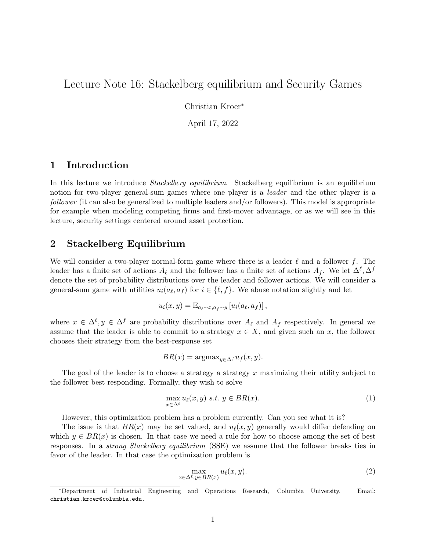# Lecture Note 16: Stackelberg equilibrium and Security Games

Christian Kroer<sup>∗</sup>

April 17, 2022

### 1 Introduction

In this lecture we introduce *Stackelberg equilibrium*. Stackelberg equilibrium is an equilibrium notion for two-player general-sum games where one player is a *leader* and the other player is a follower (it can also be generalized to multiple leaders and/or followers). This model is appropriate for example when modeling competing firms and first-mover advantage, or as we will see in this lecture, security settings centered around asset protection.

### 2 Stackelberg Equilibrium

We will consider a two-player normal-form game where there is a leader  $\ell$  and a follower f. The leader has a finite set of actions  $A_\ell$  and the follower has a finite set of actions  $A_f$ . We let  $\Delta^\ell, \Delta^f$ denote the set of probability distributions over the leader and follower actions. We will consider a general-sum game with utilities  $u_i(a_\ell, a_f)$  for  $i \in \{\ell, f\}$ . We abuse notation slightly and let

$$
u_i(x,y) = \mathbb{E}_{a_\ell \sim x, a_f \sim y} \left[ u_i(a_\ell, a_f) \right],
$$

where  $x \in \Delta^{\ell}, y \in \Delta^f$  are probability distributions over  $A_{\ell}$  and  $A_f$  respectively. In general we assume that the leader is able to commit to a strategy  $x \in X$ , and given such an x, the follower chooses their strategy from the best-response set

$$
BR(x) = \operatorname{argmax}_{y \in \Delta^f} u_f(x, y).
$$

The goal of the leader is to choose a strategy a strategy x maximizing their utility subject to the follower best responding. Formally, they wish to solve

$$
\max_{x \in \Delta^{\ell}} u_{\ell}(x, y) \ s.t. \ y \in BR(x). \tag{1}
$$

However, this optimization problem has a problem currently. Can you see what it is?

The issue is that  $BR(x)$  may be set valued, and  $u_{\ell}(x, y)$  generally would differ defending on which  $y \in BR(x)$  is chosen. In that case we need a rule for how to choose among the set of best responses. In a strong Stackelberg equilibrium (SSE) we assume that the follower breaks ties in favor of the leader. In that case the optimization problem is

$$
\max_{x \in \Delta^{\ell}, y \in BR(x)} u_{\ell}(x, y). \tag{2}
$$

<sup>∗</sup>Department of Industrial Engineering and Operations Research, Columbia University. Email: christian.kroer@columbia.edu.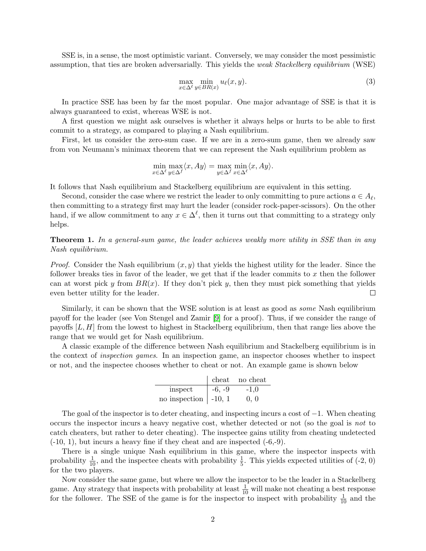SSE is, in a sense, the most optimistic variant. Conversely, we may consider the most pessimistic assumption, that ties are broken adversarially. This yields the *weak Stackelberg equilibrium* (WSE)

$$
\max_{x \in \Delta^\ell} \min_{y \in BR(x)} u_\ell(x, y). \tag{3}
$$

In practice SSE has been by far the most popular. One major advantage of SSE is that it is always guaranteed to exist, whereas WSE is not.

A first question we might ask ourselves is whether it always helps or hurts to be able to first commit to a strategy, as compared to playing a Nash equilibrium.

First, let us consider the zero-sum case. If we are in a zero-sum game, then we already saw from von Neumann's minimax theorem that we can represent the Nash equilibrium problem as

$$
\min_{x \in \Delta^{\ell}} \max_{y \in \Delta^f} \langle x, Ay \rangle = \max_{y \in \Delta^f} \min_{x \in \Delta^{\ell}} \langle x, Ay \rangle.
$$

It follows that Nash equilibrium and Stackelberg equilibrium are equivalent in this setting.

Second, consider the case where we restrict the leader to only committing to pure actions  $a \in A_{\ell}$ , then committing to a strategy first may hurt the leader (consider rock-paper-scissors). On the other hand, if we allow commitment to any  $x \in \Delta^{\ell}$ , then it turns out that committing to a strategy only helps.

**Theorem 1.** In a general-sum game, the leader achieves weakly more utility in SSE than in any Nash equilibrium.

*Proof.* Consider the Nash equilibrium  $(x, y)$  that yields the highest utility for the leader. Since the follower breaks ties in favor of the leader, we get that if the leader commits to  $x$  then the follower can at worst pick y from  $BR(x)$ . If they don't pick y, then they must pick something that yields even better utility for the leader.  $\Box$ 

Similarly, it can be shown that the WSE solution is at least as good as *some* Nash equilibrium payoff for the leader (see Von Stengel and Zamir [\[9\]](#page-5-0) for a proof). Thus, if we consider the range of payoffs  $[L, H]$  from the lowest to highest in Stackelberg equilibrium, then that range lies above the range that we would get for Nash equilibrium.

A classic example of the difference between Nash equilibrium and Stackelberg equilibrium is in the context of inspection games. In an inspection game, an inspector chooses whether to inspect or not, and the inspectee chooses whether to cheat or not. An example game is shown below

|                              |          | cheat no cheat |
|------------------------------|----------|----------------|
| inspect                      | $-6, -9$ | $-1.0$         |
| no inspection $\vert$ -10, 1 |          | 0, 0           |

The goal of the inspector is to deter cheating, and inspecting incurs a cost of  $-1$ . When cheating occurs the inspector incurs a heavy negative cost, whether detected or not (so the goal is not to catch cheaters, but rather to deter cheating). The inspectee gains utility from cheating undetected  $(-10, 1)$ , but incurs a heavy fine if they cheat and are inspected  $(-6,-9)$ .

There is a single unique Nash equilibrium in this game, where the inspector inspects with probability  $\frac{1}{10}$ , and the inspectee cheats with probability  $\frac{1}{5}$ . This yields expected utilities of (-2, 0) for the two players.

Now consider the same game, but where we allow the inspector to be the leader in a Stackelberg game. Any strategy that inspects with probability at least  $\frac{1}{10}$  will make not cheating a best response for the follower. The SSE of the game is for the inspector to inspect with probability  $\frac{1}{10}$  and the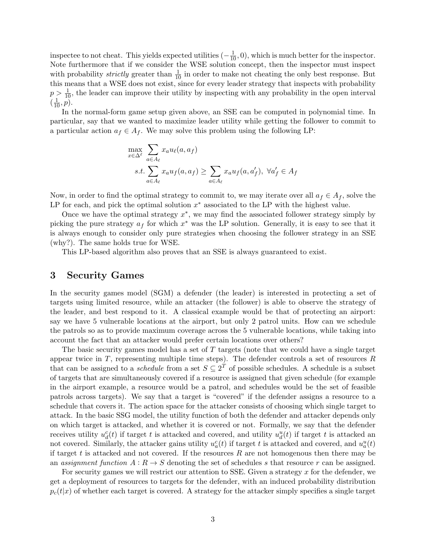inspectee to not cheat. This yields expected utilities  $(-\frac{1}{10}, 0)$ , which is much better for the inspector. Note furthermore that if we consider the WSE solution concept, then the inspector must inspect with probability *strictly* greater than  $\frac{1}{10}$  in order to make not cheating the only best response. But this means that a WSE does not exist, since for every leader strategy that inspects with probability  $p > \frac{1}{10}$ , the leader can improve their utility by inspecting with any probability in the open interval  $(\frac{1}{10}, p)$ .

In the normal-form game setup given above, an SSE can be computed in polynomial time. In particular, say that we wanted to maximize leader utility while getting the follower to commit to a particular action  $a_f \in A_f$ . We may solve this problem using the following LP:

$$
\max_{x \in \Delta^{\ell}} \sum_{a \in A_{\ell}} x_a u_{\ell}(a, a_f)
$$
  
s.t. 
$$
\sum_{a \in A_{\ell}} x_a u_f(a, a_f) \ge \sum_{a \in A_{\ell}} x_a u_f(a, a'_f), \ \forall a'_f \in A_f
$$

Now, in order to find the optimal strategy to commit to, we may iterate over all  $a_f \in A_f$ , solve the LP for each, and pick the optimal solution  $x^*$  associated to the LP with the highest value.

Once we have the optimal strategy  $x^*$ , we may find the associated follower strategy simply by picking the pure strategy  $a_f$  for which  $x^*$  was the LP solution. Generally, it is easy to see that it is always enough to consider only pure strategies when choosing the follower strategy in an SSE (why?). The same holds true for WSE.

This LP-based algorithm also proves that an SSE is always guaranteed to exist.

### 3 Security Games

In the security games model (SGM) a defender (the leader) is interested in protecting a set of targets using limited resource, while an attacker (the follower) is able to observe the strategy of the leader, and best respond to it. A classical example would be that of protecting an airport: say we have 5 vulnerable locations at the airport, but only 2 patrol units. How can we schedule the patrols so as to provide maximum coverage across the 5 vulnerable locations, while taking into account the fact that an attacker would prefer certain locations over others?

The basic security games model has a set of T targets (note that we could have a single target appear twice in  $T$ , representing multiple time steps). The defender controls a set of resources  $R$ that can be assigned to a *schedule* from a set  $S \subseteq 2^T$  of possible schedules. A schedule is a subset of targets that are simultaneously covered if a resource is assigned that given schedule (for example in the airport example, a resource would be a patrol, and schedules would be the set of feasible patrols across targets). We say that a target is "covered" if the defender assigns a resource to a schedule that covers it. The action space for the attacker consists of choosing which single target to attack. In the basic SSG model, the utility function of both the defender and attacker depends only on which target is attacked, and whether it is covered or not. Formally, we say that the defender receives utility  $u_d^c(t)$  if target t is attacked and covered, and utility  $u_d^u(t)$  if target t is attacked an not covered. Similarly, the attacker gains utility  $u_a^c(t)$  if target t is attacked and covered, and  $u_a^u(t)$ if target t is attacked and not covered. If the resources R are not homogenous then there may be an assignment function  $A: R \to S$  denoting the set of schedules s that resource r can be assigned.

For security games we will restrict our attention to SSE. Given a strategy  $x$  for the defender, we get a deployment of resources to targets for the defender, with an induced probability distribution  $p_c(t|x)$  of whether each target is covered. A strategy for the attacker simply specifies a single target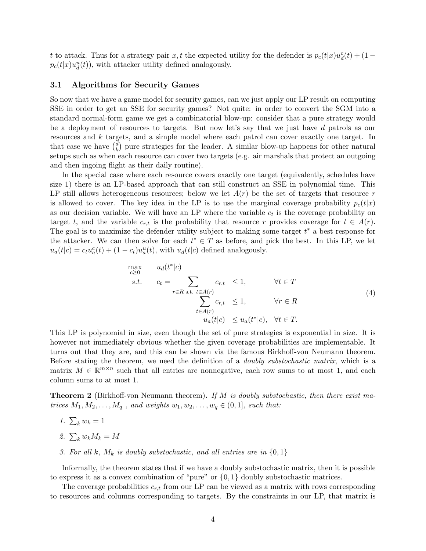t to attack. Thus for a strategy pair  $x, t$  the expected utility for the defender is  $p_c(t|x)u_d^c(t) + (1-t)^2$  $p_c(t|x)u_d^u(t)$ , with attacker utility defined analogously.

#### 3.1 Algorithms for Security Games

So now that we have a game model for security games, can we just apply our LP result on computing SSE in order to get an SSE for security games? Not quite: in order to convert the SGM into a standard normal-form game we get a combinatorial blow-up: consider that a pure strategy would be a deployment of resources to targets. But now let's say that we just have d patrols as our resources and k targets, and a simple model where each patrol can cover exactly one target. In that case we have  $\binom{d}{k}$  $\binom{d}{k}$  pure strategies for the leader. A similar blow-up happens for other natural setups such as when each resource can cover two targets (e.g. air marshals that protect an outgoing and then ingoing flight as their daily routine).

In the special case where each resource covers exactly one target (equivalently, schedules have size 1) there is an LP-based approach that can still construct an SSE in polynomial time. This LP still allows heterogeneous resources; below we let  $A(r)$  be the set of targets that resource r is allowed to cover. The key idea in the LP is to use the marginal coverage probability  $p_c(t|x)$ as our decision variable. We will have an LP where the variable  $c_t$  is the coverage probability on target t, and the variable  $c_{r,t}$  is the probability that resource r provides coverage for  $t \in A(r)$ . The goal is to maximize the defender utility subject to making some target  $t^*$  a best response for the attacker. We can then solve for each  $t^* \in T$  as before, and pick the best. In this LP, we let  $u_a(t|c) = c_t u_a^c(t) + (1 - c_t) u_a^u(t)$ , with  $u_d(t|c)$  defined analogously.

$$
\max_{c \geq 0} \quad u_d(t^*|c) \ns.t. \quad c_t = \sum_{r \in R \text{ s.t. } t \in A(r)} c_{r,t} \leq 1, \qquad \forall t \in T \sum_{t \in A(r)} c_{r,t} \leq 1, \qquad \forall r \in R \quad u_a(t|c) \leq u_a(t^*|c), \quad \forall t \in T.
$$
\n(4)

This LP is polynomial in size, even though the set of pure strategies is exponential in size. It is however not immediately obvious whether the given coverage probabilities are implementable. It turns out that they are, and this can be shown via the famous Birkhoff-von Neumann theorem. Before stating the theorem, we need the definition of a doubly substochastic matrix, which is a matrix  $M \in \mathbb{R}^{m \times n}$  such that all entries are nonnegative, each row sums to at most 1, and each column sums to at most 1.

**Theorem 2** (Birkhoff-von Neumann theorem). If M is doubly substochastic, then there exist matrices  $M_1, M_2, \ldots, M_q$ , and weights  $w_1, w_2, \ldots, w_q \in (0, 1]$ , such that:

- 1.  $\sum_k w_k = 1$
- 2.  $\sum_k w_k M_k = M$
- 3. For all k,  $M_k$  is doubly substochastic, and all entries are in  $\{0,1\}$

Informally, the theorem states that if we have a doubly substochastic matrix, then it is possible to express it as a convex combination of "pure" or  $\{0, 1\}$  doubly substochastic matrices.

The coverage probabilities  $c_{r,t}$  from our LP can be viewed as a matrix with rows corresponding to resources and columns corresponding to targets. By the constraints in our LP, that matrix is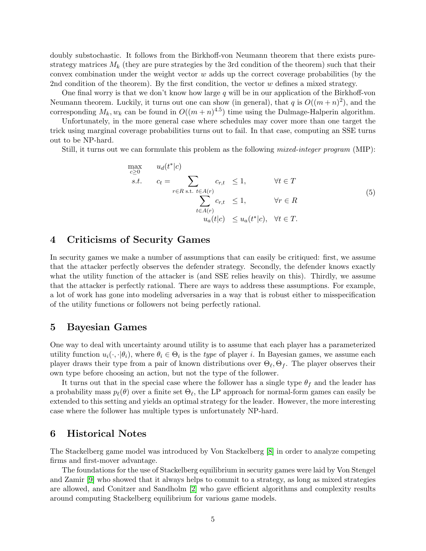doubly substochastic. It follows from the Birkhoff-von Neumann theorem that there exists purestrategy matrices  $M_k$  (they are pure strategies by the 3rd condition of the theorem) such that their convex combination under the weight vector  $w$  adds up the correct coverage probabilities (by the 2nd condition of the theorem). By the first condition, the vector w defines a mixed strategy.

One final worry is that we don't know how large q will be in our application of the Birkhoff-von Neumann theorem. Luckily, it turns out one can show (in general), that q is  $O((m+n)^2)$ , and the corresponding  $M_k, w_k$  can be found in  $O((m+n)^{4.5})$  time using the Dulmage-Halperin algorithm.

Unfortunately, in the more general case where schedules may cover more than one target the trick using marginal coverage probabilities turns out to fail. In that case, computing an SSE turns out to be NP-hard.

Still, it turns out we can formulate this problem as the following mixed-integer program (MIP):

$$
\max_{c \geq 0} \quad u_d(t^*|c) \n s.t. \quad c_t = \sum_{r \in R \text{ s.t. } t \in A(r)} c_{r,t} \leq 1, \qquad \forall t \in T \n \sum_{t \in A(r)} c_{r,t} \leq 1, \qquad \forall r \in R \n u_a(t|c) \leq u_a(t^*|c), \quad \forall t \in T.
$$
\n(5)

### 4 Criticisms of Security Games

In security games we make a number of assumptions that can easily be critiqued: first, we assume that the attacker perfectly observes the defender strategy. Secondly, the defender knows exactly what the utility function of the attacker is (and SSE relies heavily on this). Thirdly, we assume that the attacker is perfectly rational. There are ways to address these assumptions. For example, a lot of work has gone into modeling adversaries in a way that is robust either to misspecification of the utility functions or followers not being perfectly rational.

### 5 Bayesian Games

One way to deal with uncertainty around utility is to assume that each player has a parameterized utility function  $u_i(\cdot, \cdot | \theta_i)$ , where  $\theta_i \in \Theta_i$  is the *type* of player *i*. In Bayesian games, we assume each player draws their type from a pair of known distributions over  $\Theta_\ell, \Theta_f$ . The player observes their own type before choosing an action, but not the type of the follower.

It turns out that in the special case where the follower has a single type  $\theta_f$  and the leader has a probability mass  $p_\ell(\theta)$  over a finite set  $\Theta_\ell$ , the LP approach for normal-form games can easily be extended to this setting and yields an optimal strategy for the leader. However, the more interesting case where the follower has multiple types is unfortunately NP-hard.

### 6 Historical Notes

The Stackelberg game model was introduced by Von Stackelberg [\[8\]](#page-5-1) in order to analyze competing firms and first-mover advantage.

The foundations for the use of Stackelberg equilibrium in security games were laid by Von Stengel and Zamir [\[9\]](#page-5-0) who showed that it always helps to commit to a strategy, as long as mixed strategies are allowed, and Conitzer and Sandholm [\[2\]](#page-5-2) who gave efficient algorithms and complexity results around computing Stackelberg equilibrium for various game models.